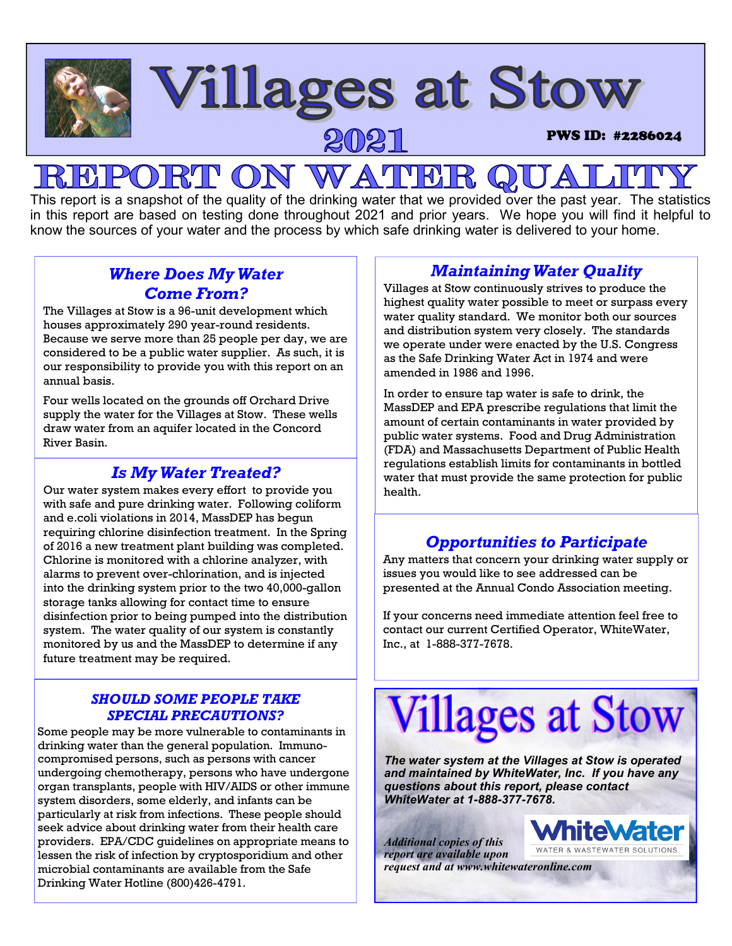

## **CON WATHE**

This report is a snapshot of the quality of the drinking water that we provided over the past year. The statistics in this report are based on testing done throughout 2021 and prior years. We hope you will find it helpful to know the sources of your water and the process by which safe drinking water is delivered to your home.

## *Where Does My Water Come From?*

The Villages at Stow is a 96-unit development which houses approximately 290 year-round residents. Because we serve more than 25 people per day, we are considered to be a public water supplier. As such, it is our responsibility to provide you with this report on an annual basis.

Four wells located on the grounds off Orchard Drive supply the water for the Villages at Stow. These wells draw water from an aquifer located in the Concord River Basin.

## *Is My Water Treated?*

Our water system makes every effort to provide you with safe and pure drinking water. Following coliform and e.coli violations in 2014, MassDEP has begun requiring chlorine disinfection treatment. In the Spring of 2016 a new treatment plant building was completed. Chlorine is monitored with a chlorine analyzer, with alarms to prevent over-chlorination, and is injected into the drinking system prior to the two 40,000-gallon storage tanks allowing for contact time to ensure disinfection prior to being pumped into the distribution system. The water quality of our system is constantly monitored by us and the MassDEP to determine if any future treatment may be required.

### *SHOULD SOME PEOPLE TAKE SPECIAL PRECAUTIONS?*

Some people may be more vulnerable to contaminants in drinking water than the general population. Immunocompromised persons, such as persons with cancer undergoing chemotherapy, persons who have undergone organ transplants, people with HIV/AIDS or other immune system disorders, some elderly, and infants can be particularly at risk from infections. These people should seek advice about drinking water from their health care providers. EPA/CDC guidelines on appropriate means to lessen the risk of infection by cryptosporidium and other microbial contaminants are available from the Safe Drinking Water Hotline (800)426-4791.

## *Maintaining Water Quality*

Villages at Stow continuously strives to produce the highest quality water possible to meet or surpass every water quality standard. We monitor both our sources and distribution system very closely. The standards we operate under were enacted by the U.S. Congress as the Safe Drinking Water Act in 1974 and were amended in 1986 and 1996.

In order to ensure tap water is safe to drink, the MassDEP and EPA prescribe regulations that limit the amount of certain contaminants in water provided by public water systems. Food and Drug Administration (FDA) and Massachusetts Department of Public Health regulations establish limits for contaminants in bottled water that must provide the same protection for public health.

## *Opportunities to Participate*

Any matters that concern your drinking water supply or issues you would like to see addressed can be presented at the Annual Condo Association meeting.

If your concerns need immediate attention feel free to contact our current Certified Operator, WhiteWater, Inc., at 1-888-377-7678.

# **Villages at Stow**

*The water system at the Villages at Stow is operated and maintained by WhiteWater, Inc. If you have any questions about this report, please contact WhiteWater at 1-888-377-7678.* 

*Additional copies of this report are available upon request and at www.whitewateronline.com* 

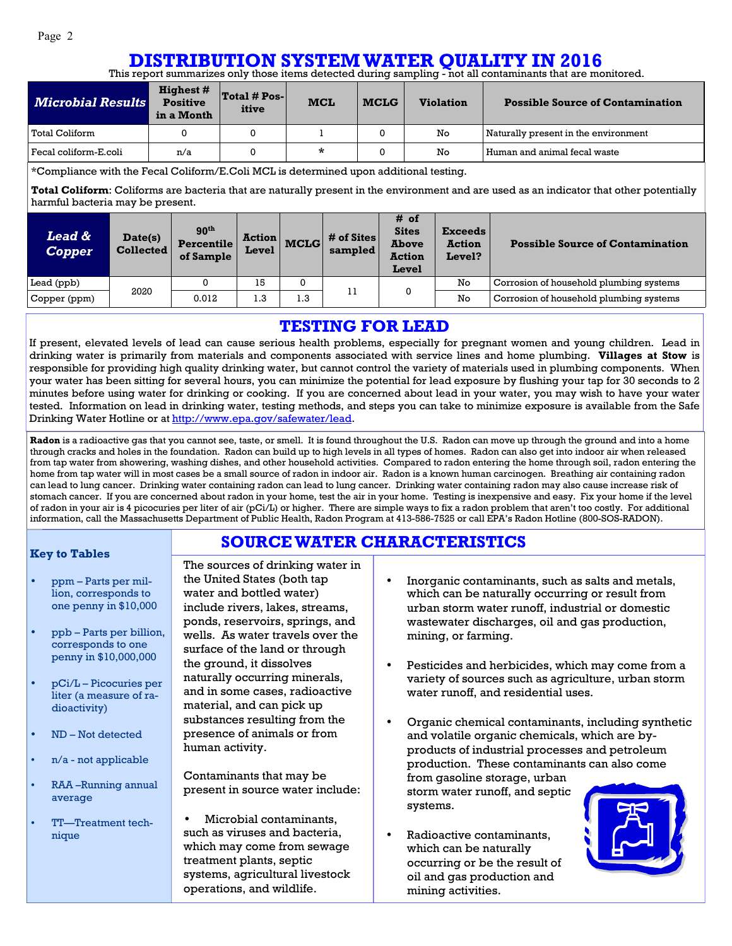#### This report summarizes only those items detected during sampling - not all contaminants that are monitored. **DISTRIBUTION SYSTEM WATER QUALITY IN 2016**

| <i><b>Microbial Results</b></i> | <b>Highest #</b><br><b>Positive</b><br>in a Month | $\vert$ Total # Pos- $\vert$<br>itive | <b>MCL</b> | <b>MCLG</b> | <b>Violation</b> | <b>Possible Source of Contamination</b> |
|---------------------------------|---------------------------------------------------|---------------------------------------|------------|-------------|------------------|-----------------------------------------|
| Total Coliform                  |                                                   |                                       |            |             | No               | Naturally present in the environment    |
| Fecal coliform-E.coli           | n/a                                               |                                       | *          |             | No               | Human and animal fecal waste            |

#### \*Compliance with the Fecal Coliform/E.Coli MCL is determined upon additional testing.

**Total Coliform**: Coliforms are bacteria that are naturally present in the environment and are used as an indicator that other potentially harmful bacteria may be present.

| Lead &<br><b>Copper</b> | Date(s)<br><b>Collected</b> | 90 <sup>th</sup><br><b>Percentile</b><br>of Sample | <b>Action</b><br>Level | <b>MCLG</b> | # of Sites<br>sampled | # of<br><b>Sites</b><br><b>Above</b><br><b>Action</b><br>Level | <b>Exceeds</b><br><b>Action</b><br>Level? | <b>Possible Source of Contamination</b> |
|-------------------------|-----------------------------|----------------------------------------------------|------------------------|-------------|-----------------------|----------------------------------------------------------------|-------------------------------------------|-----------------------------------------|
| Lead (ppb)              |                             |                                                    | 15                     | 0           | 1 T                   |                                                                | No                                        | Corrosion of household plumbing systems |
| Copper (ppm)            | 2020                        | 0.012                                              | 1.3                    | 1.3         |                       |                                                                | No                                        | Corrosion of household plumbing systems |

## **TESTING FOR LEAD**

If present, elevated levels of lead can cause serious health problems, especially for pregnant women and young children. Lead in drinking water is primarily from materials and components associated with service lines and home plumbing. **Villages at Stow** is responsible for providing high quality drinking water, but cannot control the variety of materials used in plumbing components. When your water has been sitting for several hours, you can minimize the potential for lead exposure by flushing your tap for 30 seconds to 2 minutes before using water for drinking or cooking. If you are concerned about lead in your water, you may wish to have your water tested. Information on lead in drinking water, testing methods, and steps you can take to minimize exposure is available from the Safe Drinking Water Hotline or at http://www.epa.gov/safewater/lead.

**Radon** is a radioactive gas that you cannot see, taste, or smell. It is found throughout the U.S. Radon can move up through the ground and into a home through cracks and holes in the foundation. Radon can build up to high levels in all types of homes. Radon can also get into indoor air when released from tap water from showering, washing dishes, and other household activities. Compared to radon entering the home through soil, radon entering the home from tap water will in most cases be a small source of radon in indoor air. Radon is a known human carcinogen. Breathing air containing radon can lead to lung cancer. Drinking water containing radon can lead to lung cancer. Drinking water containing radon may also cause increase risk of stomach cancer. If you are concerned about radon in your home, test the air in your home. Testing is inexpensive and easy. Fix your home if the level of radon in your air is 4 picocuries per liter of air (pCi/L) or higher. There are simple ways to fix a radon problem that aren't too costly. For additional information, call the Massachusetts Department of Public Health, Radon Program at 413-586-7525 or call EPA's Radon Hotline (800-SOS-RADON).

**SOURCE WATER CHARACTERISTICS**

#### **Key to Tables**

- ppm Parts per million, corresponds to one penny in \$10,000
- ppb Parts per billion, corresponds to one penny in \$10,000,000
- pCi/L Picocuries per liter (a measure of radioactivity)
- ND Not detected
- $n/a$  not applicable
- RAA –Running annual average
- TT—Treatment technique

The sources of drinking water in the United States (both tap water and bottled water) include rivers, lakes, streams, ponds, reservoirs, springs, and wells. As water travels over the surface of the land or through the ground, it dissolves naturally occurring minerals, and in some cases, radioactive material, and can pick up substances resulting from the presence of animals or from human activity.

Contaminants that may be present in source water include:

• Microbial contaminants, such as viruses and bacteria, which may come from sewage treatment plants, septic systems, agricultural livestock operations, and wildlife.

- Inorganic contaminants, such as salts and metals, which can be naturally occurring or result from urban storm water runoff, industrial or domestic wastewater discharges, oil and gas production, mining, or farming.
- Pesticides and herbicides, which may come from a variety of sources such as agriculture, urban storm water runoff, and residential uses.
- Organic chemical contaminants, including synthetic and volatile organic chemicals, which are byproducts of industrial processes and petroleum production. These contaminants can also come from gasoline storage, urban storm water runoff, and septic systems.
- Radioactive contaminants, which can be naturally occurring or be the result of oil and gas production and mining activities.

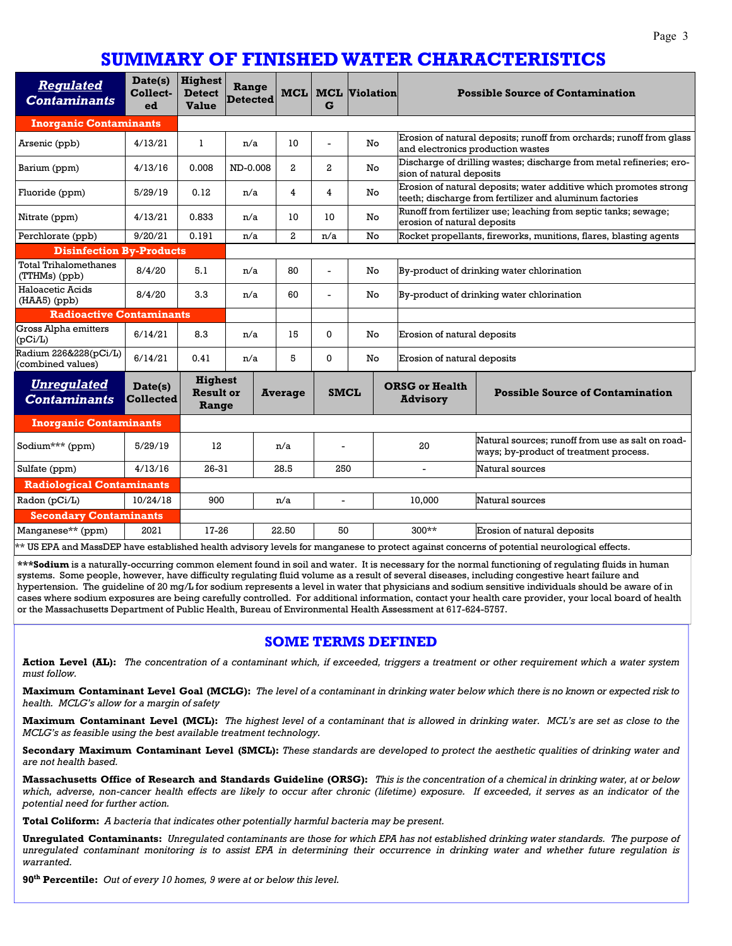## **SUMMARY OF FINISHED WATER CHARACTERISTICS**

| Regulated<br><b>Contaminants</b>                                                                                                           | Date(s)<br>Collect-<br>ed   | <b>Highest</b><br><b>Detect</b><br><b>Value</b> | Range<br><b>Detected</b> | MCL            | G              | <b>MCL</b> Violation              |                                                                                                                              | <b>Possible Source of Contamination</b>                                                     |  |
|--------------------------------------------------------------------------------------------------------------------------------------------|-----------------------------|-------------------------------------------------|--------------------------|----------------|----------------|-----------------------------------|------------------------------------------------------------------------------------------------------------------------------|---------------------------------------------------------------------------------------------|--|
| <b>Inorganic Contaminants</b>                                                                                                              |                             |                                                 |                          |                |                |                                   |                                                                                                                              |                                                                                             |  |
| Arsenic (ppb)                                                                                                                              | 4/13/21                     | 1                                               | n/a                      | 10             | ä,             | No.                               | Erosion of natural deposits; runoff from orchards; runoff from glass<br>and electronics production wastes                    |                                                                                             |  |
| Barium (ppm)                                                                                                                               | 4/13/16                     | 0.008                                           | ND-0.008                 | $\overline{a}$ | $\mathbf{2}$   | No                                | Discharge of drilling wastes; discharge from metal refineries; ero-<br>sion of natural deposits                              |                                                                                             |  |
| Fluoride (ppm)                                                                                                                             | 5/29/19                     | 0.12                                            | n/a                      | 4              | 4              | No                                | Erosion of natural deposits; water additive which promotes strong<br>teeth; discharge from fertilizer and aluminum factories |                                                                                             |  |
| Nitrate (ppm)                                                                                                                              | 4/13/21                     | 0.833                                           | n/a                      | 10             | 10             | No                                | Runoff from fertilizer use; leaching from septic tanks; sewage;<br>erosion of natural deposits                               |                                                                                             |  |
| Perchlorate (ppb)                                                                                                                          | 9/20/21                     | 0.191                                           | n/a                      | $\overline{a}$ | n/a            | No                                | Rocket propellants, fireworks, munitions, flares, blasting agents                                                            |                                                                                             |  |
| <b>Disinfection By-Products</b>                                                                                                            |                             |                                                 |                          |                |                |                                   |                                                                                                                              |                                                                                             |  |
| <b>Total Trihalomethanes</b><br>(TTHMs) (ppb)                                                                                              | 8/4/20                      | 5.1                                             | n/a                      | 80             | ä,             | No                                | By-product of drinking water chlorination                                                                                    |                                                                                             |  |
| Haloacetic Acids<br>(HAA5) (ppb)                                                                                                           | 8/4/20                      | 3.3                                             | 60<br>n/a                |                | $\overline{a}$ | No                                | By-product of drinking water chlorination                                                                                    |                                                                                             |  |
| <b>Radioactive Contaminants</b>                                                                                                            |                             |                                                 |                          |                |                |                                   |                                                                                                                              |                                                                                             |  |
| Gross Alpha emitters<br>(pCi/L)                                                                                                            | 6/14/21                     | 8.3                                             | n/a                      | 15             | $\Omega$       | No.                               | Erosion of natural deposits                                                                                                  |                                                                                             |  |
| Radium 226&228(pCi/L)<br>(combined values)                                                                                                 | 6/14/21                     | 0.41                                            | n/a                      | 5              | 0              | No<br>Erosion of natural deposits |                                                                                                                              |                                                                                             |  |
| <u>Unregulated</u><br><b>Contaminants</b>                                                                                                  | Date(s)<br><b>Collected</b> | <b>Highest</b><br><b>Result or</b><br>Range     |                          | <b>Average</b> | <b>SMCL</b>    |                                   | <b>ORSG or Health</b><br><b>Advisory</b>                                                                                     | <b>Possible Source of Contamination</b>                                                     |  |
| <b>Inorganic Contaminants</b>                                                                                                              |                             |                                                 |                          |                |                |                                   |                                                                                                                              |                                                                                             |  |
| Sodium*** (ppm)                                                                                                                            | 5/29/19                     | 12                                              | n/a                      |                |                |                                   | 20                                                                                                                           | Natural sources; runoff from use as salt on road-<br>ways; by-product of treatment process. |  |
| Sulfate (ppm)                                                                                                                              | 4/13/16                     | 26-31                                           |                          | 28.5           | 250            |                                   |                                                                                                                              | Natural sources                                                                             |  |
| <b>Radiological Contaminants</b>                                                                                                           |                             |                                                 |                          |                |                |                                   |                                                                                                                              |                                                                                             |  |
| Radon (pCi/L)                                                                                                                              | 10/24/18                    | 900                                             |                          | n/a            | $\blacksquare$ |                                   | 10.000                                                                                                                       | Natural sources                                                                             |  |
| <b>Secondary Contaminants</b>                                                                                                              |                             |                                                 |                          |                |                |                                   |                                                                                                                              |                                                                                             |  |
| Manganese** (ppm)                                                                                                                          | 2021                        |                                                 | 17-26<br>22.50           |                | 50             |                                   | $300**$                                                                                                                      | Erosion of natural deposits                                                                 |  |
| ** US EPA and MassDEP have established health advisory levels for manganese to protect against concerns of potential neurological effects. |                             |                                                 |                          |                |                |                                   |                                                                                                                              |                                                                                             |  |

**\*\*\*Sodium** is a naturally-occurring common element found in soil and water. It is necessary for the normal functioning of regulating fluids in human systems. Some people, however, have difficulty regulating fluid volume as a result of several diseases, including congestive heart failure and hypertension. The guideline of 20 mg/L for sodium represents a level in water that physicians and sodium sensitive individuals should be aware of in cases where sodium exposures are being carefully controlled. For additional information, contact your health care provider, your local board of health or the Massachusetts Department of Public Health, Bureau of Environmental Health Assessment at 617-624-5757.

#### **SOME TERMS DEFINED**

**Action Level (AL):** *The concentration of a contaminant which, if exceeded, triggers a treatment or other requirement which a water system must follow.* 

**Maximum Contaminant Level Goal (MCLG):** *The level of a contaminant in drinking water below which there is no known or expected risk to health. MCLG's allow for a margin of safety* 

**Maximum Contaminant Level (MCL):** *The highest level of a contaminant that is allowed in drinking water. MCL's are set as close to the MCLG's as feasible using the best available treatment technology.* 

**Secondary Maximum Contaminant Level (SMCL):** *These standards are developed to protect the aesthetic qualities of drinking water and are not health based.* 

**Massachusetts Office of Research and Standards Guideline (ORSG):** *This is the concentration of a chemical in drinking water, at or below which, adverse, non-cancer health effects are likely to occur after chronic (lifetime) exposure. If exceeded, it serves as an indicator of the potential need for further action.* 

**Total Coliform:** *A bacteria that indicates other potentially harmful bacteria may be present.* 

**Unregulated Contaminants:** *Unregulated contaminants are those for which EPA has not established drinking water standards. The purpose of unregulated contaminant monitoring is to assist EPA in determining their occurrence in drinking water and whether future regulation is warranted.* 

**90th Percentile:** *Out of every 10 homes, 9 were at or below this level.*